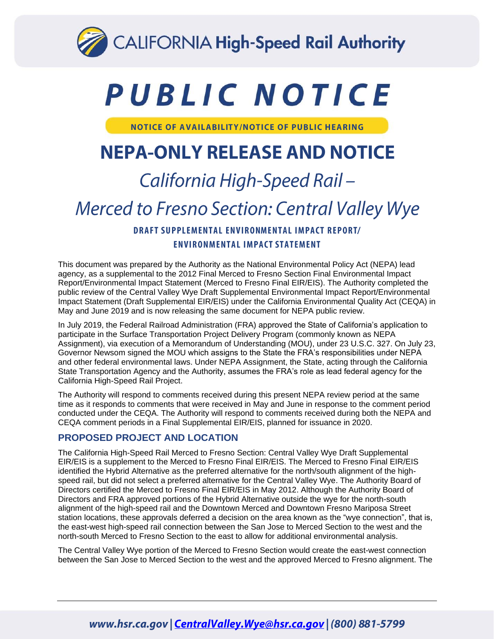

# PUBLIC NOTICE

**NOTICE OF AVAILABILITY/NOTICE OF PUBLIC HEARING** 

# **NEPA-ONLY RELEASE AND NOTICE**

# California High-Speed Rail-

# Merced to Fresno Section: Central Valley Wye

### **DRAFT SUPPLEMENTAL ENVIRONMENTAL IMPACT REPORT/ ENVIRONMENTAL IMPACT STATEMENT**

This document was prepared by the Authority as the National Environmental Policy Act (NEPA) lead agency, as a supplemental to the 2012 Final Merced to Fresno Section Final Environmental Impact Report/Environmental Impact Statement (Merced to Fresno Final EIR/EIS). The Authority completed the public review of the Central Valley Wye Draft Supplemental Environmental Impact Report/Environmental Impact Statement (Draft Supplemental EIR/EIS) under the California Environmental Quality Act (CEQA) in May and June 2019 and is now releasing the same document for NEPA public review.

In July 2019, the Federal Railroad Administration (FRA) approved the State of California's application to participate in the Surface Transportation Project Delivery Program (commonly known as NEPA Assignment), via execution of a Memorandum of Understanding (MOU), under 23 U.S.C. 327. On July 23, Governor Newsom signed the MOU which assigns to the State the FRA's responsibilities under NEPA and other federal environmental laws. Under NEPA Assignment, the State, acting through the California State Transportation Agency and the Authority, assumes the FRA's role as lead federal agency for the California High-Speed Rail Project.

The Authority will respond to comments received during this present NEPA review period at the same time as it responds to comments that were received in May and June in response to the comment period conducted under the CEQA. The Authority will respond to comments received during both the NEPA and CEQA comment periods in a Final Supplemental EIR/EIS, planned for issuance in 2020.

#### **PROPOSED PROJECT AND LOCATION**

The California High-Speed Rail Merced to Fresno Section: Central Valley Wye Draft Supplemental EIR/EIS is a supplement to the Merced to Fresno Final EIR/EIS. The Merced to Fresno Final EIR/EIS identified the Hybrid Alternative as the preferred alternative for the north/south alignment of the highspeed rail, but did not select a preferred alternative for the Central Valley Wye. The Authority Board of Directors certified the Merced to Fresno Final EIR/EIS in May 2012. Although the Authority Board of Directors and FRA approved portions of the Hybrid Alternative outside the wye for the north-south alignment of the high-speed rail and the Downtown Merced and Downtown Fresno Mariposa Street station locations, these approvals deferred a decision on the area known as the "wye connection", that is, the east-west high-speed rail connection between the San Jose to Merced Section to the west and the north-south Merced to Fresno Section to the east to allow for additional environmental analysis.

The Central Valley Wye portion of the Merced to Fresno Section would create the east-west connection between the San Jose to Merced Section to the west and the approved Merced to Fresno alignment. The

## www.hsr.ca.gov | CentralValley.Wye@hsr.ca.gov | (800) 881-5799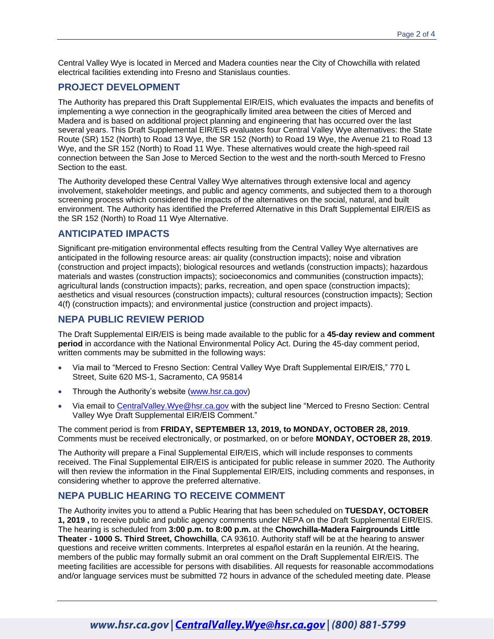Central Valley Wye is located in Merced and Madera counties near the City of Chowchilla with related electrical facilities extending into Fresno and Stanislaus counties.

#### **PROJECT DEVELOPMENT**

The Authority has prepared this Draft Supplemental EIR/EIS, which evaluates the impacts and benefits of implementing a wye connection in the geographically limited area between the cities of Merced and Madera and is based on additional project planning and engineering that has occurred over the last several years. This Draft Supplemental EIR/EIS evaluates four Central Valley Wye alternatives: the State Route (SR) 152 (North) to Road 13 Wye, the SR 152 (North) to Road 19 Wye, the Avenue 21 to Road 13 Wye, and the SR 152 (North) to Road 11 Wye. These alternatives would create the high-speed rail connection between the San Jose to Merced Section to the west and the north-south Merced to Fresno Section to the east.

The Authority developed these Central Valley Wye alternatives through extensive local and agency involvement, stakeholder meetings, and public and agency comments, and subjected them to a thorough screening process which considered the impacts of the alternatives on the social, natural, and built environment. The Authority has identified the Preferred Alternative in this Draft Supplemental EIR/EIS as the SR 152 (North) to Road 11 Wye Alternative.

#### **ANTICIPATED IMPACTS**

Significant pre-mitigation environmental effects resulting from the Central Valley Wye alternatives are anticipated in the following resource areas: air quality (construction impacts); noise and vibration (construction and project impacts); biological resources and wetlands (construction impacts); hazardous materials and wastes (construction impacts); socioeconomics and communities (construction impacts); agricultural lands (construction impacts); parks, recreation, and open space (construction impacts); aesthetics and visual resources (construction impacts); cultural resources (construction impacts); Section 4(f) (construction impacts); and environmental justice (construction and project impacts).

#### **NEPA PUBLIC REVIEW PERIOD**

The Draft Supplemental EIR/EIS is being made available to the public for a **45-day review and comment period** in accordance with the National Environmental Policy Act. During the 45-day comment period, written comments may be submitted in the following ways:

- Via mail to "Merced to Fresno Section: Central Valley Wye Draft Supplemental EIR/EIS," 770 L Street, Suite 620 MS-1, Sacramento, CA 95814
- Through the Authority's website [\(www.hsr.ca.gov\)](http://www.hsr.ca.gov/)
- Via email to [CentralValley.Wye@hsr.ca.gov](mailto:CentralValley.Wye@hsr.ca.gov) with the subject line "Merced to Fresno Section: Central Valley Wye Draft Supplemental EIR/EIS Comment."

The comment period is from **FRIDAY, SEPTEMBER 13, 2019, to MONDAY, OCTOBER 28, 2019**. Comments must be received electronically, or postmarked, on or before **MONDAY, OCTOBER 28, 2019**.

The Authority will prepare a Final Supplemental EIR/EIS, which will include responses to comments received. The Final Supplemental EIR/EIS is anticipated for public release in summer 2020. The Authority will then review the information in the Final Supplemental EIR/EIS, including comments and responses, in considering whether to approve the preferred alternative.

#### **NEPA PUBLIC HEARING TO RECEIVE COMMENT**

The Authority invites you to attend a Public Hearing that has been scheduled on **TUESDAY, OCTOBER 1, 2019 ,** to receive public and public agency comments under NEPA on the Draft Supplemental EIR/EIS. The hearing is scheduled from **3:00 p.m. to 8:00 p.m.** at the **Chowchilla-Madera Fairgrounds Little Theater - 1000 S. Third Street, Chowchilla**, CA 93610. Authority staff will be at the hearing to answer questions and receive written comments. Interpretes al español estarán en la reunión. At the hearing, members of the public may formally submit an oral comment on the Draft Supplemental EIR/EIS. The meeting facilities are accessible for persons with disabilities. All requests for reasonable accommodations and/or language services must be submitted 72 hours in advance of the scheduled meeting date. Please

### www.hsr.ca.gov | CentralValley.Wye@hsr.ca.gov | (800) 881-5799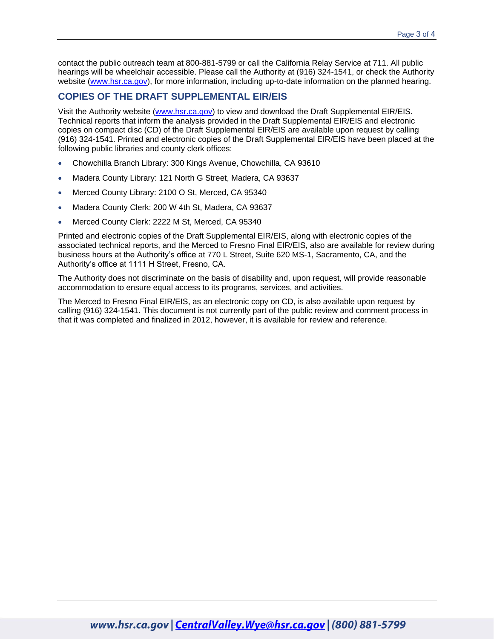contact the public outreach team at 800-881-5799 or call the California Relay Service at 711. All public hearings will be wheelchair accessible. Please call the Authority at (916) 324-1541, or check the Authority website [\(www.hsr.ca.gov\)](http://www.hsr.ca.gov/), for more information, including up-to-date information on the planned hearing.

#### **COPIES OF THE DRAFT SUPPLEMENTAL EIR/EIS**

Visit the Authority website [\(www.hsr.ca.gov\)](http://www.hsr.ca.gov/) to view and download the Draft Supplemental EIR/EIS. Technical reports that inform the analysis provided in the Draft Supplemental EIR/EIS and electronic copies on compact disc (CD) of the Draft Supplemental EIR/EIS are available upon request by calling (916) 324-1541. Printed and electronic copies of the Draft Supplemental EIR/EIS have been placed at the following public libraries and county clerk offices:

- Chowchilla Branch Library: 300 Kings Avenue, Chowchilla, CA 93610
- Madera County Library: 121 North G Street, Madera, CA 93637
- Merced County Library: 2100 O St, Merced, CA 95340
- Madera County Clerk: 200 W 4th St, Madera, CA 93637
- Merced County Clerk: 2222 M St, Merced, CA 95340

Printed and electronic copies of the Draft Supplemental EIR/EIS, along with electronic copies of the associated technical reports, and the Merced to Fresno Final EIR/EIS, also are available for review during business hours at the Authority's office at 770 L Street, Suite 620 MS-1, Sacramento, CA, and the Authority's office at 1111 H Street, Fresno, CA.

The Authority does not discriminate on the basis of disability and, upon request, will provide reasonable accommodation to ensure equal access to its programs, services, and activities.

The Merced to Fresno Final EIR/EIS, as an electronic copy on CD, is also available upon request by calling (916) 324-1541. This document is not currently part of the public review and comment process in that it was completed and finalized in 2012, however, it is available for review and reference.